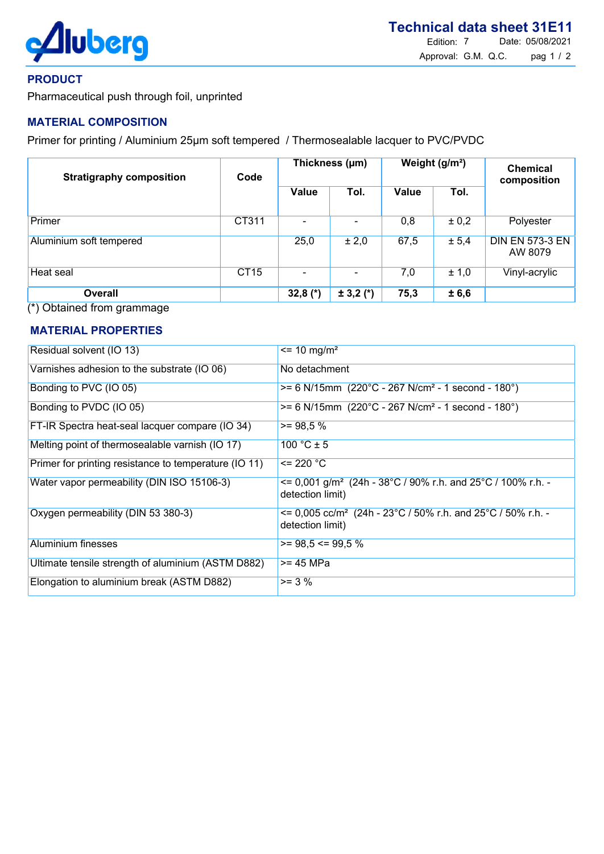

### PRODUCT

Pharmaceutical push through foil, unprinted

## MATERIAL COMPOSITION

Primer for printing / Aluminium 25µm soft tempered / Thermosealable lacquer to PVC/PVDC

| <b>Stratigraphy composition</b> | Code        | Thickness (µm) |               | Weight (g/m <sup>2</sup> ) |       | <b>Chemical</b><br>composition    |
|---------------------------------|-------------|----------------|---------------|----------------------------|-------|-----------------------------------|
|                                 |             | Value          | Tol.          | Value                      | Tol.  |                                   |
| Primer                          | CT311       |                |               | 0,8                        | ± 0,2 | Polyester                         |
| Aluminium soft tempered         |             | 25,0           | ± 2,0         | 67,5                       | ± 5,4 | <b>DIN EN 573-3 EN</b><br>AW 8079 |
| Heat seal                       | <b>CT15</b> |                |               | 7,0                        | ± 1,0 | Vinyl-acrylic                     |
| <b>Overall</b>                  |             | 32,8 $(*)$     | $\pm$ 3,2 (*) | 75,3                       | ± 6,6 |                                   |

(\*) Obtained from grammage

# MATERIAL PROPERTIES

| Residual solvent (IO 13)                              | $\epsilon$ = 10 mg/m <sup>2</sup>                                                                     |
|-------------------------------------------------------|-------------------------------------------------------------------------------------------------------|
| Varnishes adhesion to the substrate (IO 06)           | No detachment                                                                                         |
| Bonding to PVC (IO 05)                                | $>= 6$ N/15mm (220°C - 267 N/cm <sup>2</sup> - 1 second - 180°)                                       |
| Bonding to PVDC (IO 05)                               | $>= 6$ N/15mm (220°C - 267 N/cm <sup>2</sup> - 1 second - 180°)                                       |
| FT-IR Spectra heat-seal lacquer compare (IO 34)       | $>= 98.5 %$                                                                                           |
| Melting point of thermosealable varnish (IO 17)       | 100 °C $\pm$ 5                                                                                        |
| Primer for printing resistance to temperature (IO 11) | $= 220 °C$                                                                                            |
| Water vapor permeability (DIN ISO 15106-3)            | $\epsilon$ = 0,001 g/m <sup>2</sup> (24h - 38°C / 90% r.h. and 25°C / 100% r.h. -<br>detection limit) |
| Oxygen permeability (DIN 53 380-3)                    | $\epsilon$ = 0,005 cc/m <sup>2</sup> (24h - 23°C / 50% r.h. and 25°C / 50% r.h. -<br>detection limit) |
| <b>Aluminium finesses</b>                             | $>= 98.5 \le 99.5 \%$                                                                                 |
| Ultimate tensile strength of aluminium (ASTM D882)    | >= 45 MPa                                                                                             |
| Elongation to aluminium break (ASTM D882)             | $>= 3 %$                                                                                              |